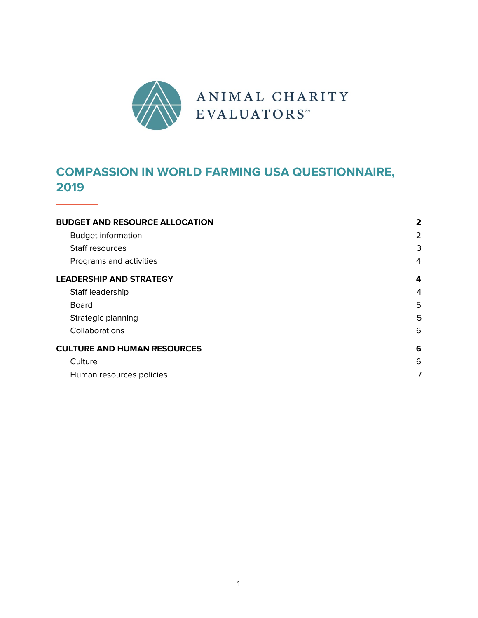

## **COMPASSION IN WORLD FARMING USA QUESTIONNAIRE, 2019**

**———**

| <b>BUDGET AND RESOURCE ALLOCATION</b> | $\mathbf{2}$ |
|---------------------------------------|--------------|
| <b>Budget information</b>             | 2            |
| Staff resources                       | 3            |
| Programs and activities               | 4            |
| <b>LEADERSHIP AND STRATEGY</b>        | 4            |
| Staff leadership                      | 4            |
| <b>Board</b>                          | 5            |
| Strategic planning                    | 5            |
| Collaborations                        | 6            |
| <b>CULTURE AND HUMAN RESOURCES</b>    | 6            |
| Culture                               | 6            |
| Human resources policies              | 7            |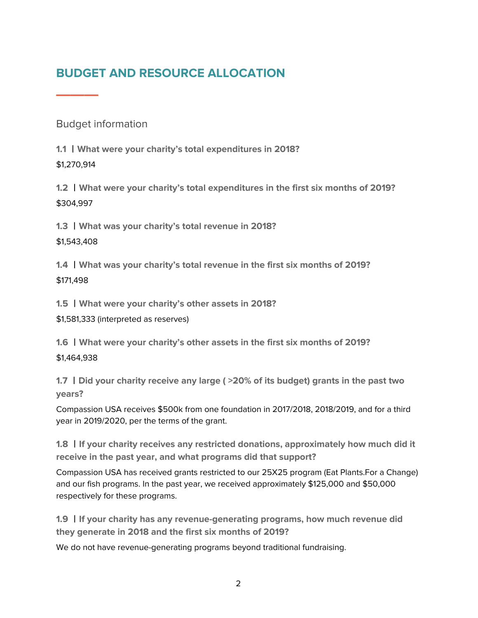# <span id="page-1-0"></span>**BUDGET AND RESOURCE ALLOCATION**

<span id="page-1-1"></span>Budget information

**———**

**1.1** 丨**What were your charity's total expenditures in 2018?** \$1,270,914

**1.2** 丨**What were your charity's total expenditures in the first six months of 2019?** \$304,997

**1.3** 丨**What was your charity's total revenue in 2018?**

\$1,543,408

**1.4** 丨**What was your charity's total revenue in the first six months of 2019?** \$171,498

**1.5** 丨**What were your charity's other assets in 2018?**

\$1,581,333 (interpreted as reserves)

**1.6** 丨**What were your charity's other assets in the first six months of 2019?** \$1,464,938

**1.7** 丨**Did your charity receive any large ( >20% of its budget) grants in the past two years?**

Compassion USA receives \$500k from one foundation in 2017/2018, 2018/2019, and for a third year in 2019/2020, per the terms of the grant.

**1.8** 丨**If your charity receives any restricted donations, approximately how much did it receive in the past year, and what programs did that support?**

Compassion USA has received grants restricted to our 25X25 program (Eat Plants.For a Change) and our fish programs. In the past year, we received approximately \$125,000 and \$50,000 respectively for these programs.

**1.9** 丨**If your charity has any revenue-generating programs, how much revenue did they generate in 2018 and the first six months of 2019?**

We do not have revenue-generating programs beyond traditional fundraising.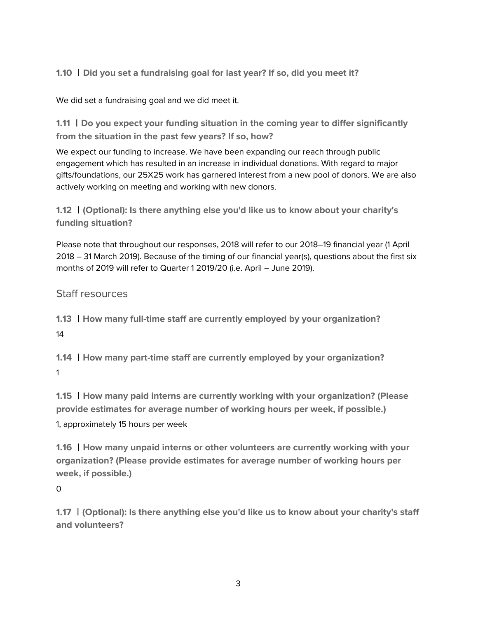**1.10** 丨**Did you set a fundraising goal for last year? If so, did you meet it?**

We did set a fundraising goal and we did meet it.

**1.11** 丨**Do you expect your funding situation in the coming year to differ significantly from the situation in the past few years? If so, how?**

We expect our funding to increase. We have been expanding our reach through public engagement which has resulted in an increase in individual donations. With regard to major gifts/foundations, our 25X25 work has garnered interest from a new pool of donors. We are also actively working on meeting and working with new donors.

**1.12** 丨**(Optional): Is there anything else you'd like us to know about your charity's funding situation?**

Please note that throughout our responses, 2018 will refer to our 2018–19 financial year (1 April 2018 – 31 March 2019). Because of the timing of our financial year(s), questions about the first six months of 2019 will refer to Quarter 1 2019/20 (i.e. April – June 2019).

<span id="page-2-0"></span>Staff resources

**1.13** 丨**How many full-time staff are currently employed by your organization?** 14

**1.14** 丨**How many part-time staff are currently employed by your organization?** 1

**1.15** 丨**How many paid interns are currently working with your organization? (Please provide estimates for average number of working hours per week, if possible.)** 1, approximately 15 hours per week

**1.16** 丨**How many unpaid interns or other volunteers are currently working with your organization? (Please provide estimates for average number of working hours per week, if possible.)**

 $\Omega$ 

**1.17** 丨**(Optional): Is there anything else you'd like us to know about your charity's staff and volunteers?**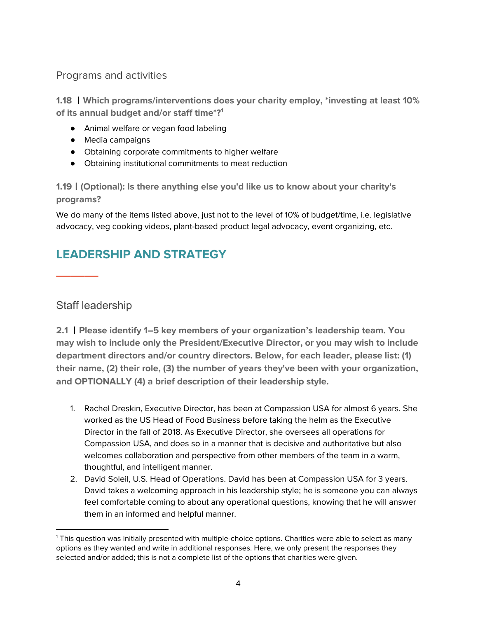<span id="page-3-0"></span>Programs and activities

**1.18** 丨**Which programs/interventions does your charity employ, \*investing at least 10% of its annual budget and/or staff time\*? 1**

- Animal welfare or vegan food labeling
- Media campaigns
- Obtaining corporate commitments to higher welfare
- Obtaining institutional commitments to meat reduction

**1.19**丨**(Optional): Is there anything else you'd like us to know about your charity's programs?**

We do many of the items listed above, just not to the level of 10% of budget/time, i.e. legislative advocacy, veg cooking videos, plant-based product legal advocacy, event organizing, etc.

# <span id="page-3-1"></span>**LEADERSHIP AND STRATEGY**

<span id="page-3-2"></span>Staff leadership

**———**

**2.1** 丨**Please identify 1–5 key members of your organization's leadership team. You may wish to include only the President/Executive Director, or you may wish to include department directors and/or country directors. Below, for each leader, please list: (1) their name, (2) their role, (3) the number of years they've been with your organization, and OPTIONALLY (4) a brief description of their leadership style.**

- 1. Rachel Dreskin, Executive Director, has been at Compassion USA for almost 6 years. She worked as the US Head of Food Business before taking the helm as the Executive Director in the fall of 2018. As Executive Director, she oversees all operations for Compassion USA, and does so in a manner that is decisive and authoritative but also welcomes collaboration and perspective from other members of the team in a warm, thoughtful, and intelligent manner.
- 2. David Soleil, U.S. Head of Operations. David has been at Compassion USA for 3 years. David takes a welcoming approach in his leadership style; he is someone you can always feel comfortable coming to about any operational questions, knowing that he will answer them in an informed and helpful manner.

<sup>1</sup> This question was initially presented with multiple-choice options. Charities were able to select as many options as they wanted and write in additional responses. Here, we only present the responses they selected and/or added; this is not a complete list of the options that charities were given.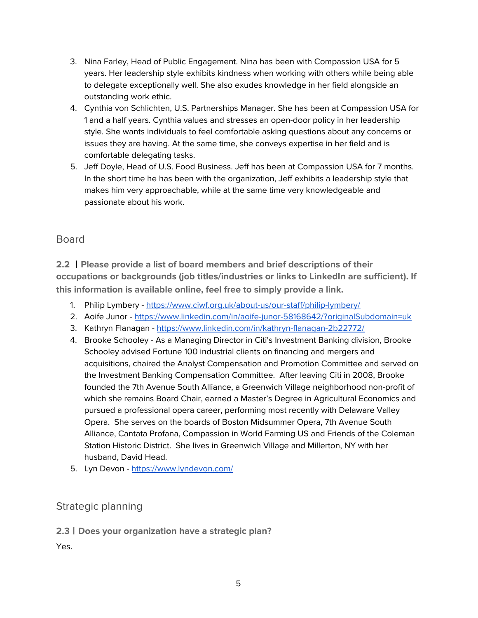- 3. Nina Farley, Head of Public Engagement. Nina has been with Compassion USA for 5 years. Her leadership style exhibits kindness when working with others while being able to delegate exceptionally well. She also exudes knowledge in her field alongside an outstanding work ethic.
- 4. Cynthia von Schlichten, U.S. Partnerships Manager. She has been at Compassion USA for 1 and a half years. Cynthia values and stresses an open-door policy in her leadership style. She wants individuals to feel comfortable asking questions about any concerns or issues they are having. At the same time, she conveys expertise in her field and is comfortable delegating tasks.
- 5. Jeff Doyle, Head of U.S. Food Business. Jeff has been at Compassion USA for 7 months. In the short time he has been with the organization, Jeff exhibits a leadership style that makes him very approachable, while at the same time very knowledgeable and passionate about his work.

### <span id="page-4-0"></span>Board

**2.2** 丨**Please provide a list of board members and brief descriptions of their occupations or backgrounds (job titles/industries or links to LinkedIn are sufficient). If this information is available online, feel free to simply provide a link.**

- 1. Philip Lymbery <https://www.ciwf.org.uk/about-us/our-staff/philip-lymbery/>
- 2. Aoife Junor <https://www.linkedin.com/in/aoife-junor-58168642/?originalSubdomain=uk>
- 3. Kathryn Flanagan <https://www.linkedin.com/in/kathryn-flanagan-2b22772/>
- 4. Brooke Schooley As a Managing Director in Citi's Investment Banking division, Brooke Schooley advised Fortune 100 industrial clients on financing and mergers and acquisitions, chaired the Analyst Compensation and Promotion Committee and served on the Investment Banking Compensation Committee. After leaving Citi in 2008, Brooke founded the 7th Avenue South Alliance, a Greenwich Village neighborhood non-profit of which she remains Board Chair, earned a Master's Degree in Agricultural Economics and pursued a professional opera career, performing most recently with Delaware Valley Opera. She serves on the boards of Boston Midsummer Opera, 7th Avenue South Alliance, Cantata Profana, Compassion in World Farming US and Friends of the Coleman Station Historic District. She lives in Greenwich Village and Millerton, NY with her husband, David Head.
- 5. Lyn Devon <https://www.lyndevon.com/>

### <span id="page-4-1"></span>Strategic planning

#### **2.3**丨**Does your organization have a strategic plan?**

Yes.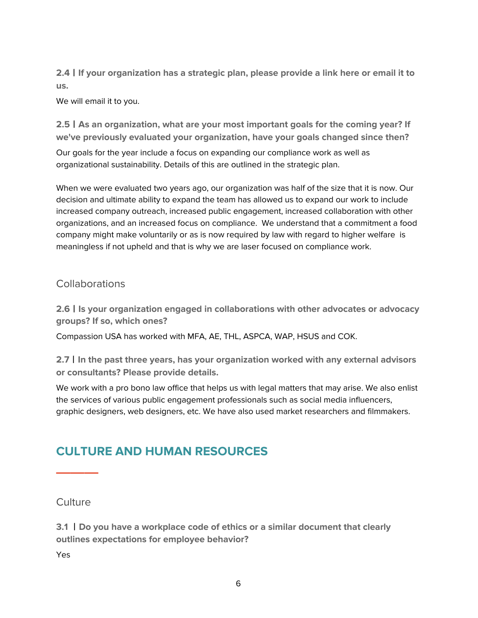**2.4**丨**If your organization has a strategic plan, please provide a link here or email it to us.**

We will email it to you.

**2.5**丨**As an organization, what are your most important goals for the coming year? If we've previously evaluated your organization, have your goals changed since then?**

Our goals for the year include a focus on expanding our compliance work as well as organizational sustainability. Details of this are outlined in the strategic plan.

When we were evaluated two years ago, our organization was half of the size that it is now. Our decision and ultimate ability to expand the team has allowed us to expand our work to include increased company outreach, increased public engagement, increased collaboration with other organizations, and an increased focus on compliance. We understand that a commitment a food company might make voluntarily or as is now required by law with regard to higher welfare is meaningless if not upheld and that is why we are laser focused on compliance work.

### <span id="page-5-0"></span>**Collaborations**

**2.6**丨**Is your organization engaged in collaborations with other advocates or advocacy groups? If so, which ones?**

Compassion USA has worked with MFA, AE, THL, ASPCA, WAP, HSUS and COK.

**2.7**丨**In the past three years, has your organization worked with any external advisors or consultants? Please provide details.**

We work with a pro bono law office that helps us with legal matters that may arise. We also enlist the services of various public engagement professionals such as social media influencers, graphic designers, web designers, etc. We have also used market researchers and filmmakers.

## <span id="page-5-1"></span>**CULTURE AND HUMAN RESOURCES**

#### <span id="page-5-2"></span>**Culture**

**———**

**3.1** 丨**Do you have a workplace code of ethics or a similar document that clearly outlines expectations for employee behavior?**

Yes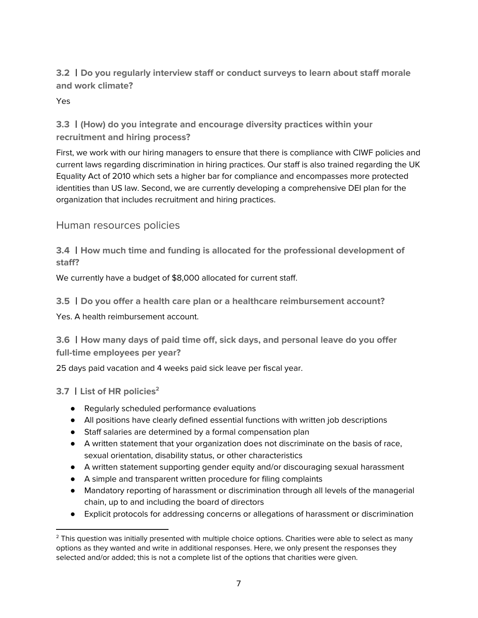**3.2** 丨**Do you regularly interview staff or conduct surveys to learn about staff morale and work climate?**

Yes

**3.3** 丨**(How) do you integrate and encourage diversity practices within your recruitment and hiring process?**

First, we work with our hiring managers to ensure that there is compliance with CIWF policies and current laws regarding discrimination in hiring practices. Our staff is also trained regarding the UK Equality Act of 2010 which sets a higher bar for compliance and encompasses more protected identities than US law. Second, we are currently developing a comprehensive DEI plan for the organization that includes recruitment and hiring practices.

<span id="page-6-0"></span>Human resources policies

**3.4** 丨**How much time and funding is allocated for the professional development of staff?**

We currently have a budget of \$8,000 allocated for current staff.

**3.5** 丨**Do you offer a health care plan or a healthcare reimbursement account?**

Yes. A health reimbursement account.

**3.6** 丨**How many days of paid time off, sick days, and personal leave do you offer full-time employees per year?**

25 days paid vacation and 4 weeks paid sick leave per fiscal year.

**3.7** 丨**List of HR policies 2**

- Regularly scheduled performance evaluations
- All positions have clearly defined essential functions with written job descriptions
- Staff salaries are determined by a formal compensation plan
- A written statement that your organization does not discriminate on the basis of race, sexual orientation, disability status, or other characteristics
- A written statement supporting gender equity and/or discouraging sexual harassment
- A simple and transparent written procedure for filing complaints
- Mandatory reporting of harassment or discrimination through all levels of the managerial chain, up to and including the board of directors
- Explicit protocols for addressing concerns or allegations of harassment or discrimination

<sup>&</sup>lt;sup>2</sup> This question was initially presented with multiple choice options. Charities were able to select as many options as they wanted and write in additional responses. Here, we only present the responses they selected and/or added; this is not a complete list of the options that charities were given.